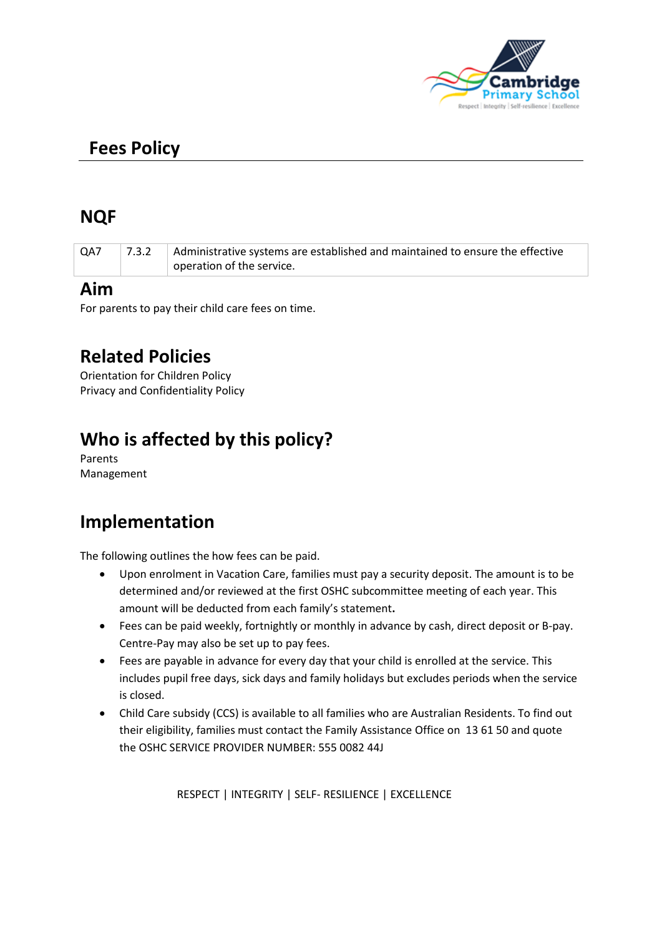

# **Fees Policy**

## **NQF**

| operation of the service. | QA7 | 7.3.2 | Administrative systems are established and maintained to ensure the effective |
|---------------------------|-----|-------|-------------------------------------------------------------------------------|
|                           |     |       |                                                                               |

#### **Aim**

For parents to pay their child care fees on time.

## **Related Policies**

Orientation for Children Policy Privacy and Confidentiality Policy

# **Who is affected by this policy?**

Parents Management

## **Implementation**

The following outlines the how fees can be paid.

- Upon enrolment in Vacation Care, families must pay a security deposit. The amount is to be determined and/or reviewed at the first OSHC subcommittee meeting of each year. This amount will be deducted from each family's statement**.**
- Fees can be paid weekly, fortnightly or monthly in advance by cash, direct deposit or B-pay. Centre-Pay may also be set up to pay fees.
- Fees are payable in advance for every day that your child is enrolled at the service. This includes pupil free days, sick days and family holidays but excludes periods when the service is closed.
- Child Care subsidy (CCS) is available to all families who are Australian Residents. To find out their eligibility, families must contact the Family Assistance Office on 13 61 50 and quote the OSHC SERVICE PROVIDER NUMBER: 555 0082 44J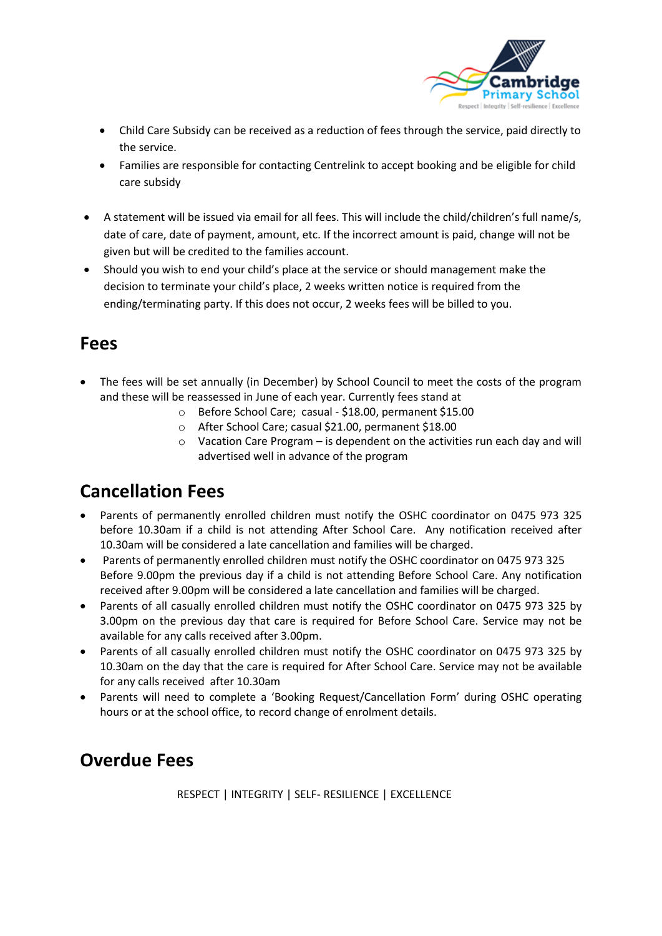

- Child Care Subsidy can be received as a reduction of fees through the service, paid directly to the service.
- Families are responsible for contacting Centrelink to accept booking and be eligible for child care subsidy
- A statement will be issued via email for all fees. This will include the child/children's full name/s, date of care, date of payment, amount, etc. If the incorrect amount is paid, change will not be given but will be credited to the families account.
- Should you wish to end your child's place at the service or should management make the decision to terminate your child's place, 2 weeks written notice is required from the ending/terminating party. If this does not occur, 2 weeks fees will be billed to you.

#### **Fees**

- The fees will be set annually (in December) by School Council to meet the costs of the program and these will be reassessed in June of each year. Currently fees stand at
	- o Before School Care; casual \$18.00, permanent \$15.00
	- o After School Care; casual \$21.00, permanent \$18.00
	- $\circ$  Vacation Care Program is dependent on the activities run each day and will advertised well in advance of the program

# **Cancellation Fees**

- Parents of permanently enrolled children must notify the OSHC coordinator on 0475 973 325 before 10.30am if a child is not attending After School Care. Any notification received after 10.30am will be considered a late cancellation and families will be charged.
- Parents of permanently enrolled children must notify the OSHC coordinator on 0475 973 325 Before 9.00pm the previous day if a child is not attending Before School Care. Any notification received after 9.00pm will be considered a late cancellation and families will be charged.
- Parents of all casually enrolled children must notify the OSHC coordinator on 0475 973 325 by 3.00pm on the previous day that care is required for Before School Care. Service may not be available for any calls received after 3.00pm.
- Parents of all casually enrolled children must notify the OSHC coordinator on 0475 973 325 by 10.30am on the day that the care is required for After School Care. Service may not be available for any calls received after 10.30am
- Parents will need to complete a 'Booking Request/Cancellation Form' during OSHC operating hours or at the school office, to record change of enrolment details.

## **Overdue Fees**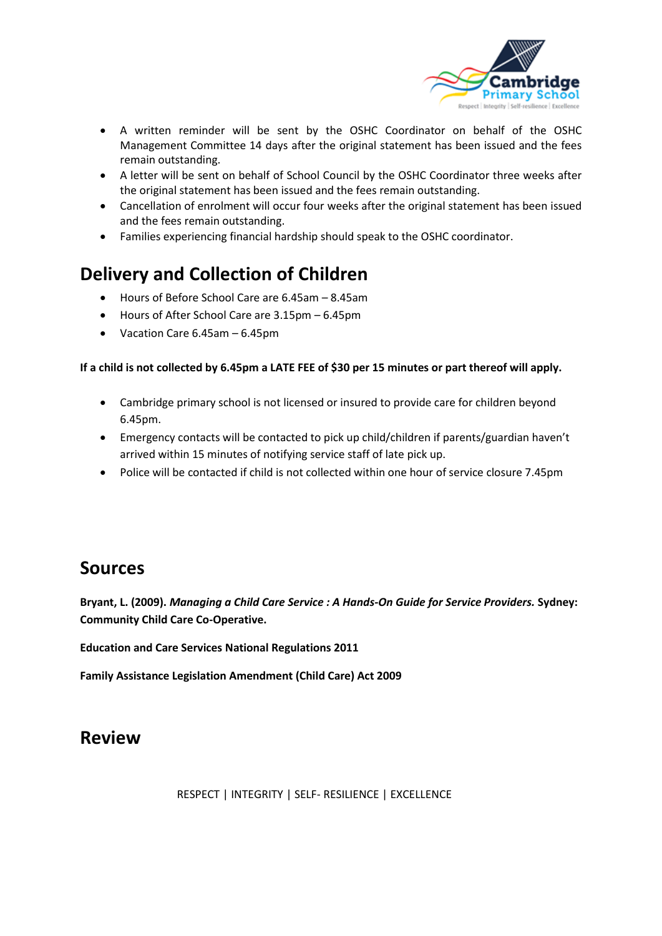

- A written reminder will be sent by the OSHC Coordinator on behalf of the OSHC Management Committee 14 days after the original statement has been issued and the fees remain outstanding.
- A letter will be sent on behalf of School Council by the OSHC Coordinator three weeks after the original statement has been issued and the fees remain outstanding.
- Cancellation of enrolment will occur four weeks after the original statement has been issued and the fees remain outstanding.
- Families experiencing financial hardship should speak to the OSHC coordinator.

# **Delivery and Collection of Children**

- Hours of Before School Care are 6.45am 8.45am
- Hours of After School Care are 3.15pm 6.45pm
- Vacation Care 6.45am 6.45pm

#### **If a child is not collected by 6.45pm a LATE FEE of \$30 per 15 minutes or part thereof will apply.**

- Cambridge primary school is not licensed or insured to provide care for children beyond 6.45pm.
- Emergency contacts will be contacted to pick up child/children if parents/guardian haven't arrived within 15 minutes of notifying service staff of late pick up.
- Police will be contacted if child is not collected within one hour of service closure 7.45pm

#### **Sources**

**Bryant, L. (2009).** *Managing a Child Care Service : A Hands-On Guide for Service Providers.* **Sydney: Community Child Care Co-Operative.**

**Education and Care Services National Regulations 2011**

**Family Assistance Legislation Amendment (Child Care) Act 2009**

### **Review**